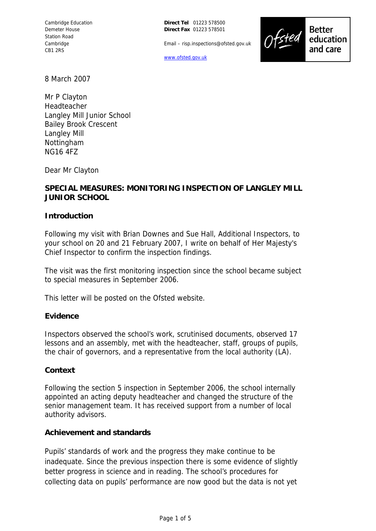**Direct Tel** 01223 578500 **Direct Fax** 01223 578501

Email – risp.inspections@ofsted.gov.uk





**Better** education and care

8 March 2007

Mr P Clayton Headteacher Langley Mill Junior School Bailey Brook Crescent Langley Mill **Nottingham** NG16 4FZ

Dear Mr Clayton

### **SPECIAL MEASURES: MONITORING INSPECTION OF LANGLEY MILL JUNIOR SCHOOL**

#### **Introduction**

Following my visit with Brian Downes and Sue Hall, Additional Inspectors, to your school on 20 and 21 February 2007, I write on behalf of Her Majesty's Chief Inspector to confirm the inspection findings.

The visit was the first monitoring inspection since the school became subject to special measures in September 2006.

This letter will be posted on the Ofsted website.

### **Evidence**

Inspectors observed the school's work, scrutinised documents, observed 17 lessons and an assembly, met with the headteacher, staff, groups of pupils, the chair of governors, and a representative from the local authority (LA).

#### **Context**

Following the section 5 inspection in September 2006, the school internally appointed an acting deputy headteacher and changed the structure of the senior management team. It has received support from a number of local authority advisors.

#### **Achievement and standards**

Pupils' standards of work and the progress they make continue to be inadequate. Since the previous inspection there is some evidence of slightly better progress in science and in reading. The school's procedures for collecting data on pupils' performance are now good but the data is not yet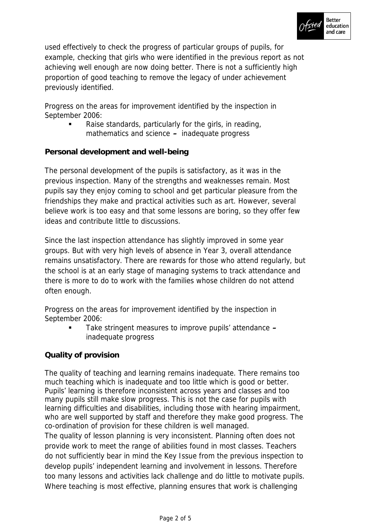

used effectively to check the progress of particular groups of pupils, for example, checking that girls who were identified in the previous report as not achieving well enough are now doing better. There is not a sufficiently high proportion of good teaching to remove the legacy of under achievement previously identified.

Progress on the areas for improvement identified by the inspection in September 2006:

 Raise standards, particularly for the girls, in reading, mathematics and science **–** inadequate progress

**Personal development and well-being**

The personal development of the pupils is satisfactory, as it was in the previous inspection. Many of the strengths and weaknesses remain. Most pupils say they enjoy coming to school and get particular pleasure from the friendships they make and practical activities such as art. However, several believe work is too easy and that some lessons are boring, so they offer few ideas and contribute little to discussions.

Since the last inspection attendance has slightly improved in some year groups. But with very high levels of absence in Year 3, overall attendance remains unsatisfactory. There are rewards for those who attend regularly, but the school is at an early stage of managing systems to track attendance and there is more to do to work with the families whose children do not attend often enough.

Progress on the areas for improvement identified by the inspection in September 2006:

 Take stringent measures to improve pupils' attendance **–** inadequate progress

# **Quality of provision**

The quality of teaching and learning remains inadequate. There remains too much teaching which is inadequate and too little which is good or better. Pupils' learning is therefore inconsistent across years and classes and too many pupils still make slow progress. This is not the case for pupils with learning difficulties and disabilities, including those with hearing impairment, who are well supported by staff and therefore they make good progress. The co-ordination of provision for these children is well managed.

The quality of lesson planning is very inconsistent. Planning often does not provide work to meet the range of abilities found in most classes. Teachers do not sufficiently bear in mind the Key Issue from the previous inspection to develop pupils' independent learning and involvement in lessons. Therefore too many lessons and activities lack challenge and do little to motivate pupils. Where teaching is most effective, planning ensures that work is challenging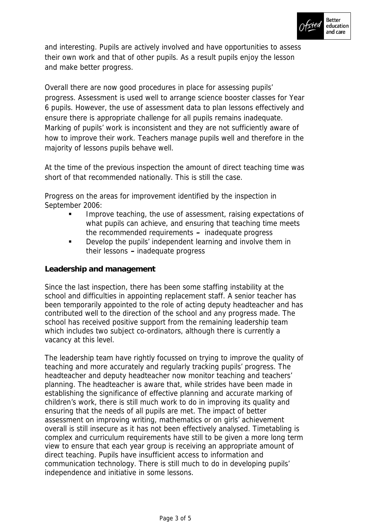

and interesting. Pupils are actively involved and have opportunities to assess their own work and that of other pupils. As a result pupils enjoy the lesson and make better progress.

Overall there are now good procedures in place for assessing pupils' progress. Assessment is used well to arrange science booster classes for Year 6 pupils. However, the use of assessment data to plan lessons effectively and ensure there is appropriate challenge for all pupils remains inadequate. Marking of pupils' work is inconsistent and they are not sufficiently aware of how to improve their work. Teachers manage pupils well and therefore in the majority of lessons pupils behave well.

At the time of the previous inspection the amount of direct teaching time was short of that recommended nationally. This is still the case.

Progress on the areas for improvement identified by the inspection in September 2006:

- Improve teaching, the use of assessment, raising expectations of what pupils can achieve, and ensuring that teaching time meets the recommended requirements **–** inadequate progress
- Develop the pupils' independent learning and involve them in their lessons **–** inadequate progress

## **Leadership and management**

Since the last inspection, there has been some staffing instability at the school and difficulties in appointing replacement staff. A senior teacher has been temporarily appointed to the role of acting deputy headteacher and has contributed well to the direction of the school and any progress made. The school has received positive support from the remaining leadership team which includes two subject co-ordinators, although there is currently a vacancy at this level.

The leadership team have rightly focussed on trying to improve the quality of teaching and more accurately and regularly tracking pupils' progress. The headteacher and deputy headteacher now monitor teaching and teachers' planning. The headteacher is aware that, while strides have been made in establishing the significance of effective planning and accurate marking of children's work, there is still much work to do in improving its quality and ensuring that the needs of all pupils are met. The impact of better assessment on improving writing, mathematics or on girls' achievement overall is still insecure as it has not been effectively analysed. Timetabling is complex and curriculum requirements have still to be given a more long term view to ensure that each year group is receiving an appropriate amount of direct teaching. Pupils have insufficient access to information and communication technology. There is still much to do in developing pupils' independence and initiative in some lessons.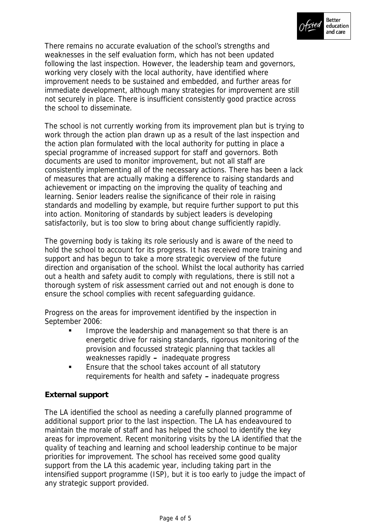

There remains no accurate evaluation of the school's strengths and weaknesses in the self evaluation form, which has not been updated following the last inspection. However, the leadership team and governors, working very closely with the local authority, have identified where improvement needs to be sustained and embedded, and further areas for immediate development, although many strategies for improvement are still not securely in place. There is insufficient consistently good practice across the school to disseminate.

The school is not currently working from its improvement plan but is trying to work through the action plan drawn up as a result of the last inspection and the action plan formulated with the local authority for putting in place a special programme of increased support for staff and governors. Both documents are used to monitor improvement, but not all staff are consistently implementing all of the necessary actions. There has been a lack of measures that are actually making a difference to raising standards and achievement or impacting on the improving the quality of teaching and learning. Senior leaders realise the significance of their role in raising standards and modelling by example, but require further support to put this into action. Monitoring of standards by subject leaders is developing satisfactorily, but is too slow to bring about change sufficiently rapidly.

The governing body is taking its role seriously and is aware of the need to hold the school to account for its progress. It has received more training and support and has begun to take a more strategic overview of the future direction and organisation of the school. Whilst the local authority has carried out a health and safety audit to comply with regulations, there is still not a thorough system of risk assessment carried out and not enough is done to ensure the school complies with recent safeguarding guidance.

Progress on the areas for improvement identified by the inspection in September 2006:

- Improve the leadership and management so that there is an energetic drive for raising standards, rigorous monitoring of the provision and focussed strategic planning that tackles all weaknesses rapidly **–** inadequate progress
- **Ensure that the school takes account of all statutory** requirements for health and safety **–** inadequate progress

# **External support**

The LA identified the school as needing a carefully planned programme of additional support prior to the last inspection. The LA has endeavoured to maintain the morale of staff and has helped the school to identify the key areas for improvement. Recent monitoring visits by the LA identified that the quality of teaching and learning and school leadership continue to be major priorities for improvement. The school has received some good quality support from the LA this academic year, including taking part in the intensified support programme (ISP), but it is too early to judge the impact of any strategic support provided.